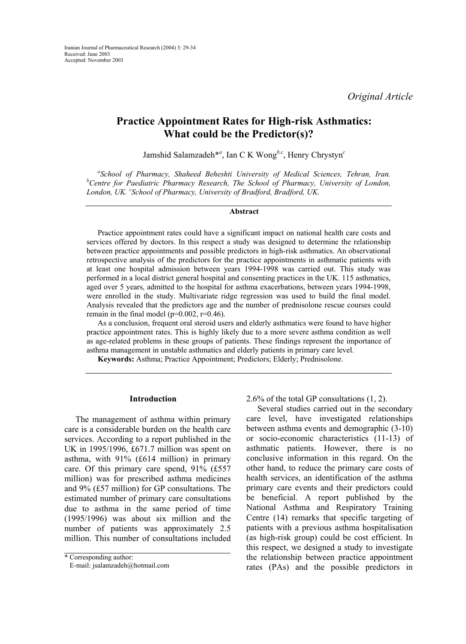*Original Article* 

# **Practice Appointment Rates for High-risk Asthmatics: What could be the Predictor(s)?**

Jamshid Salamzadeh\**<sup>a</sup>* , Ian C K Wong*b,c*, Henry Chrystyn*<sup>c</sup>*

<sup>a</sup> School of Pharmacy, Shaheed Beheshti University of Medical Sciences, Tehran, Iran. *b Centre for Paediatric Pharmacy Research, The School of Pharmacy, University of London, London, UK. c School of Pharmacy, University of Bradford, Bradford, UK.* 

#### **Abstract**

Practice appointment rates could have a significant impact on national health care costs and services offered by doctors. In this respect a study was designed to determine the relationship between practice appointments and possible predictors in high-risk asthmatics. An observational retrospective analysis of the predictors for the practice appointments in asthmatic patients with at least one hospital admission between years 1994-1998 was carried out. This study was performed in a local district general hospital and consenting practices in the UK. 115 asthmatics, aged over 5 years, admitted to the hospital for asthma exacerbations, between years 1994-1998, were enrolled in the study. Multivariate ridge regression was used to build the final model. Analysis revealed that the predictors age and the number of prednisolone rescue courses could remain in the final model ( $p=0.002$ ,  $r=0.46$ ).

As a conclusion, frequent oral steroid users and elderly asthmatics were found to have higher practice appointment rates. This is highly likely due to a more severe asthma condition as well as age-related problems in these groups of patients. These findings represent the importance of asthma management in unstable asthmatics and elderly patients in primary care level.

**Keywords:** Asthma; Practice Appointment; Predictors; Elderly; Prednisolone.

# **Introduction**

The management of asthma within primary care is a considerable burden on the health care services. According to a report published in the UK in 1995/1996, £671.7 million was spent on asthma, with 91% (£614 million) in primary care. Of this primary care spend, 91% (£557 million) was for prescribed asthma medicines and 9% (£57 million) for GP consultations. The estimated number of primary care consultations due to asthma in the same period of time (1995/1996) was about six million and the number of patients was approximately 2.5 million. This number of consultations included 2.6% of the total GP consultations (1, 2).

Several studies carried out in the secondary care level, have investigated relationships between asthma events and demographic (3-10) or socio-economic characteristics (11-13) of asthmatic patients. However, there is no conclusive information in this regard. On the other hand, to reduce the primary care costs of health services, an identification of the asthma primary care events and their predictors could be beneficial. A report published by the National Asthma and Respiratory Training Centre (14) remarks that specific targeting of patients with a previous asthma hospitalisation (as high-risk group) could be cost efficient. In this respect, we designed a study to investigate the relationship between practice appointment rates (PAs) and the possible predictors in

<sup>\*</sup> Corresponding author:

E-mail: jsalamzadeh@hotmail.com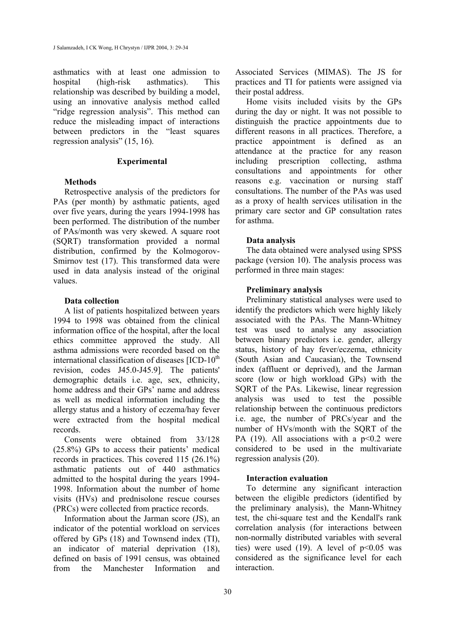asthmatics with at least one admission to hospital (high-risk asthmatics). This relationship was described by building a model, using an innovative analysis method called "ridge regression analysis". This method can reduce the misleading impact of interactions between predictors in the "least squares regression analysis" (15, 16).

## **Experimental**

# **Methods**

Retrospective analysis of the predictors for PAs (per month) by asthmatic patients, aged over five years, during the years 1994-1998 has been performed. The distribution of the number of PAs/month was very skewed. A square root (SQRT) transformation provided a normal distribution, confirmed by the Kolmogorov-Smirnov test (17). This transformed data were used in data analysis instead of the original values.

# **Data collection**

A list of patients hospitalized between years 1994 to 1998 was obtained from the clinical information office of the hospital, after the local ethics committee approved the study. All asthma admissions were recorded based on the international classification of diseases  $[ICD-10<sup>th</sup>]$ revision, codes J45.0-J45.9]. The patients' demographic details i.e. age, sex, ethnicity, home address and their GPs' name and address as well as medical information including the allergy status and a history of eczema/hay fever were extracted from the hospital medical records.

Consents were obtained from 33/128 (25.8%) GPs to access their patients' medical records in practices. This covered 115 (26.1%) asthmatic patients out of 440 asthmatics admitted to the hospital during the years 1994- 1998. Information about the number of home visits (HVs) and prednisolone rescue courses (PRCs) were collected from practice records.

Information about the Jarman score (JS), an indicator of the potential workload on services offered by GPs (18) and Townsend index (TI), an indicator of material deprivation (18), defined on basis of 1991 census, was obtained from the Manchester Information and Associated Services (MIMAS). The JS for practices and TI for patients were assigned via their postal address.

Home visits included visits by the GPs during the day or night. It was not possible to distinguish the practice appointments due to different reasons in all practices. Therefore, a practice appointment is defined as an attendance at the practice for any reason including prescription collecting, asthma consultations and appointments for other reasons e.g. vaccination or nursing staff consultations. The number of the PAs was used as a proxy of health services utilisation in the primary care sector and GP consultation rates for asthma.

## **Data analysis**

The data obtained were analysed using SPSS package (version 10). The analysis process was performed in three main stages:

## **Preliminary analysis**

Preliminary statistical analyses were used to identify the predictors which were highly likely associated with the PAs. The Mann-Whitney test was used to analyse any association between binary predictors i.e. gender, allergy status, history of hay fever/eczema, ethnicity (South Asian and Caucasian), the Townsend index (affluent or deprived), and the Jarman score (low or high workload GPs) with the SQRT of the PAs. Likewise, linear regression analysis was used to test the possible relationship between the continuous predictors i.e. age, the number of PRCs/year and the number of HVs/month with the SQRT of the PA  $(19)$ . All associations with a  $p<0.2$  were considered to be used in the multivariate regression analysis (20).

### **Interaction evaluation**

To determine any significant interaction between the eligible predictors (identified by the preliminary analysis), the Mann-Whitney test, the chi-square test and the Kendall's rank correlation analysis (for interactions between non-normally distributed variables with several ties) were used (19). A level of  $p<0.05$  was considered as the significance level for each interaction.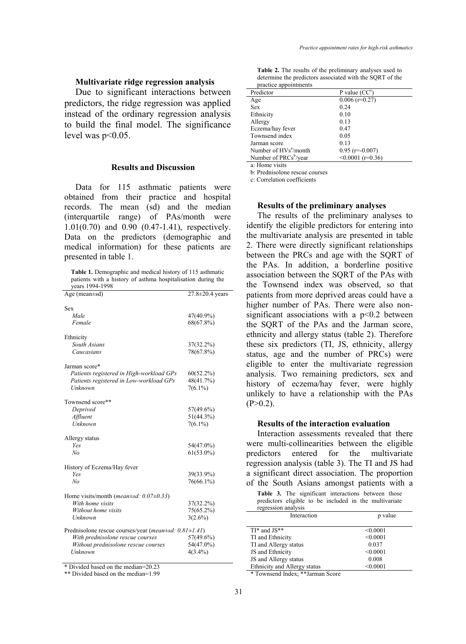## **Multivariate ridge regression analysis**

Due to significant interactions between predictors, the ridge regression was applied instead of the ordinary regression analysis to build the final model. The significance level was  $p<0.05$ .

### **Results and Discussion**

Data for 115 asthmatic patients were obtained from their practice and hospital records. The mean (sd) and the median (interquartile range) of PAs/month were 1.01(0.70) and 0.90 (0.47-1.41), respectively. Data on the predictors (demographic and medical information) for these patients are presented in table 1.

**Table 1.** Demographic and medical history of 115 asthmatic patients with a history of asthma hospitalisation during the years 1994-1998

| Age (mean $\pm$ sd)                                          | 27.8±20.4 years |
|--------------------------------------------------------------|-----------------|
|                                                              |                 |
| Sex                                                          |                 |
| Male                                                         | 47(40.9%)       |
| Female                                                       | 68(67.8%)       |
| Ethnicity                                                    |                 |
| South Asians                                                 | 37(32.2%)       |
| Caucasians                                                   | 78(67.8%)       |
| Jarman score*                                                |                 |
| Patients registered in High-workload GPs                     | $60(52.2\%)$    |
| Patients registered in Low-workload GPs                      | 48(41.7%)       |
| Unknown                                                      | $7(6.1\%)$      |
|                                                              |                 |
| Townsend score**                                             |                 |
| Deprived                                                     | 57(49.6%)       |
| Affluent                                                     | $51(44.3\%)$    |
| Unknown                                                      | $7(6.1\%)$      |
|                                                              |                 |
| Allergy status                                               |                 |
| <b>Yes</b>                                                   | 54(47.0%)       |
| No                                                           | $61(53.0\%)$    |
| History of Eczema/Hay fever                                  |                 |
| <b>Yes</b>                                                   | 39(33.9%)       |
| N <sub>o</sub>                                               | 76(66.1%)       |
|                                                              |                 |
| Home visits/month ( <i>mean</i> $\pm$ sd: 0.07 $\pm$ 0.33)   |                 |
| With home visits                                             | $37(32.2\%)$    |
| Without home visits                                          | 75(65.2%)       |
| Unknown                                                      | $3(2.6\%)$      |
|                                                              |                 |
| Prednisolone rescue courses/year (mean±sd: $0.81 \pm 1.41$ ) |                 |
| With prednisolone rescue courses                             | 57(49.6%)       |
| Without prednisolone rescue courses                          | 54(47.0%)       |
| Unknown                                                      | $4(3.4\%)$      |
|                                                              |                 |

\* Divided based on the median=20.23

\*\* Divided based on the median=1.99

**Table 2.** The results of the preliminary analyses used to determine the predictors associated with the SQRT of the practice appointments

| ргасисс арронницств               |                     |
|-----------------------------------|---------------------|
| Predictor                         | P value $(CC^c)$    |
| Age                               | $0.006$ (r=0.27)    |
| <b>Sex</b>                        | 0.24                |
| Ethnicity                         | 0.10                |
| Allergy                           | 0.13                |
| Eczema/hay fever                  | 0.47                |
| Townsend index                    | 0.05                |
| Jarman score                      | 0.13                |
| Number of HVs <sup>a</sup> /month | $0.95$ (r=-0.007)   |
| Number of PRCs <sup>b</sup> /year | $< 0.0001$ (r=0.36) |
| a: Home visits                    |                     |

b: Prednisolone rescue courses

c: Correlation coefficients

#### **Results of the preliminary analyses**

The results of the preliminary analyses to identify the eligible predictors for entering into the multivariate analysis are presented in table 2. There were directly significant relationships between the PRCs and age with the SQRT of the PAs. In addition, a borderline positive association between the SQRT of the PAs with the Townsend index was observed, so that patients from more deprived areas could have a higher number of PAs. There were also nonsignificant associations with a  $p<0.2$  between the SQRT of the PAs and the Jarman score, ethnicity and allergy status (table 2). Therefore these six predictors (TI, JS, ethnicity, allergy status, age and the number of PRCs) were eligible to enter the multivariate regression analysis. Two remaining predictors, sex and history of eczema/hay fever, were highly unlikely to have a relationship with the PAs  $(P>0.2)$ .

## **Results of the interaction evaluation**

Interaction assessments revealed that there were multi-collinearities between the eligible predictors entered for the multivariate regression analysis (table 3). The TI and JS had a significant direct association. The proportion of the South Asians amongst patients with a

|                     | $\sigma$ and bound from another patients with              |  |  |
|---------------------|------------------------------------------------------------|--|--|
|                     | <b>Table 3.</b> The significant interactions between those |  |  |
|                     | predictors eligible to be included in the multivariate     |  |  |
| regression analysis |                                                            |  |  |
|                     |                                                            |  |  |

| Interaction                                          | p value  |  |  |
|------------------------------------------------------|----------|--|--|
| $TI^*$ and $JS^{**}$                                 | < 0.0001 |  |  |
| TI and Ethnicity                                     | < 0.0001 |  |  |
| TI and Allergy status                                | 0.037    |  |  |
| JS and Ethnicity                                     | < 0.0001 |  |  |
| JS and Allergy status                                | 0.008    |  |  |
| Ethnicity and Allergy status                         | < 0.0001 |  |  |
| she she T<br><b>Je 1777</b><br>$\sim$<br>$1 \t1 \t1$ |          |  |  |

\* Townsend Index; \*\*Jarman Score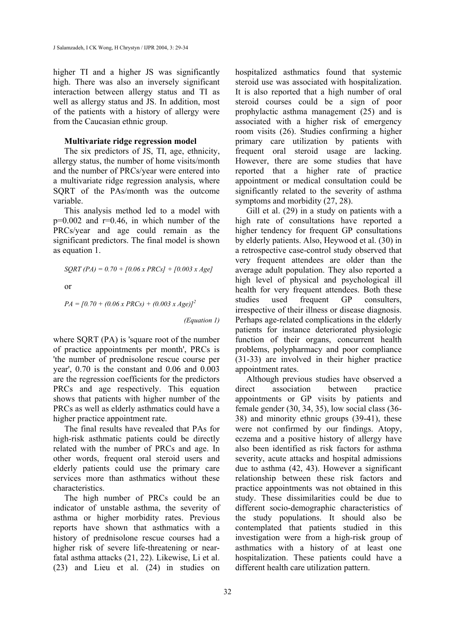higher TI and a higher JS was significantly high. There was also an inversely significant interaction between allergy status and TI as well as allergy status and JS. In addition, most of the patients with a history of allergy were from the Caucasian ethnic group.

## **Multivariate ridge regression model**

The six predictors of JS, TI, age, ethnicity, allergy status, the number of home visits/month and the number of PRCs/year were entered into a multivariate ridge regression analysis, where SQRT of the PAs/month was the outcome variable.

This analysis method led to a model with  $p=0.002$  and  $r=0.46$ , in which number of the PRCs/year and age could remain as the significant predictors. The final model is shown as equation 1.

$$
SQRT (PA) = 0.70 + [0.06 \times PRCs] + [0.003 \times Age]
$$
  
or

$$
PA = [0.70 + (0.06 \times PRCs) + (0.003 \times Age)]^2
$$

*(Equation 1)*

where SQRT (PA) is 'square root of the number of practice appointments per month', PRCs is 'the number of prednisolone rescue course per year', 0.70 is the constant and 0.06 and 0.003 are the regression coefficients for the predictors PRCs and age respectively. This equation shows that patients with higher number of the PRCs as well as elderly asthmatics could have a higher practice appointment rate.

The final results have revealed that PAs for high-risk asthmatic patients could be directly related with the number of PRCs and age. In other words, frequent oral steroid users and elderly patients could use the primary care services more than asthmatics without these characteristics.

The high number of PRCs could be an indicator of unstable asthma, the severity of asthma or higher morbidity rates. Previous reports have shown that asthmatics with a history of prednisolone rescue courses had a higher risk of severe life-threatening or nearfatal asthma attacks (21, 22). Likewise, Li et al. (23) and Lieu et al. (24) in studies on

hospitalized asthmatics found that systemic steroid use was associated with hospitalization. It is also reported that a high number of oral steroid courses could be a sign of poor prophylactic asthma management (25) and is associated with a higher risk of emergency room visits (26). Studies confirming a higher primary care utilization by patients with frequent oral steroid usage are lacking. However, there are some studies that have reported that a higher rate of practice appointment or medical consultation could be significantly related to the severity of asthma symptoms and morbidity (27, 28).

Gill et al. (29) in a study on patients with a high rate of consultations have reported a higher tendency for frequent GP consultations by elderly patients. Also, Heywood et al. (30) in a retrospective case-control study observed that very frequent attendees are older than the average adult population. They also reported a high level of physical and psychological ill health for very frequent attendees. Both these studies used frequent GP consulters, irrespective of their illness or disease diagnosis. Perhaps age-related complications in the elderly patients for instance deteriorated physiologic function of their organs, concurrent health problems, polypharmacy and poor compliance (31-33) are involved in their higher practice appointment rates.

Although previous studies have observed a direct association between practice appointments or GP visits by patients and female gender (30, 34, 35), low social class (36- 38) and minority ethnic groups (39-41), these were not confirmed by our findings. Atopy, eczema and a positive history of allergy have also been identified as risk factors for asthma severity, acute attacks and hospital admissions due to asthma (42, 43). However a significant relationship between these risk factors and practice appointments was not obtained in this study. These dissimilarities could be due to different socio-demographic characteristics of the study populations. It should also be contemplated that patients studied in this investigation were from a high-risk group of asthmatics with a history of at least one hospitalization. These patients could have a different health care utilization pattern.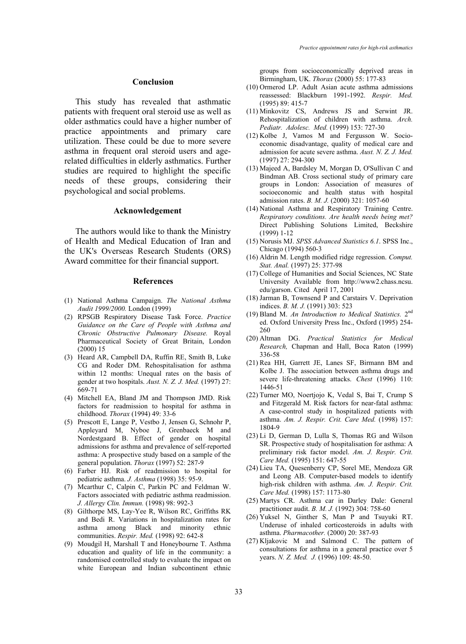### **Conclusion**

This study has revealed that asthmatic patients with frequent oral steroid use as well as older asthmatics could have a higher number of practice appointments and primary care utilization. These could be due to more severe asthma in frequent oral steroid users and agerelated difficulties in elderly asthmatics. Further studies are required to highlight the specific needs of these groups, considering their psychological and social problems.

#### **Acknowledgement**

The authors would like to thank the Ministry of Health and Medical Education of Iran and the UK's Overseas Research Students (ORS) Award committee for their financial support.

### **References**

- (1) National Asthma Campaign. *The National Asthma Audit 1999/2000.* London (1999)
- (2) RPSGB Respiratory Disease Task Force. *Practice Guidance on the Care of People with Asthma and Chronic Obstructive Pulmonary Disease.* Royal Pharmaceutical Society of Great Britain, London (2000) 15
- (3) Heard AR, Campbell DA, Ruffin RE, Smith B, Luke CG and Roder DM. Rehospitalisation for asthma within 12 months: Unequal rates on the basis of gender at two hospitals. *Aust. N. Z. J. Med.* (1997) 27: 669-71
- (4) Mitchell EA, Bland JM and Thompson JMD. Risk factors for readmission to hospital for asthma in childhood. *Thorax* (1994) 49: 33-6
- (5) Prescott E, Lange P, Vestbo J, Jensen G, Schnohr P, Appleyard M, Nyboe J, Grenbaeck M and Nordestgaard B. Effect of gender on hospital admissions for asthma and prevalence of self-reported asthma: A prospective study based on a sample of the general population. *Thorax* (1997) 52: 287-9
- (6) Farber HJ. Risk of readmission to hospital for pediatric asthma. *J. Asthma* (1998) 35: 95-9.
- (7) Mcarthur C, Calpin C, Parkin PC and Feldman W. Factors associated with pediatric asthma readmission. *J. Allergy Clin. Immun.* (1998) 98: 992-3
- (8) Gilthorpe MS, Lay-Yee R, Wilson RC, Griffiths RK and Bedi R. Variations in hospitalization rates for asthma among Black and minority ethnic communities. *Respir. Med.* (1998) 92: 642-8
- (9) Moudgil H, Marshall T and Honeybourne T. Asthma education and quality of life in the community: a randomised controlled study to evaluate the impact on white European and Indian subcontinent ethnic

groups from socioeconomically deprived areas in Birmingham, UK. *Thorax* (2000) 55: 177-83

- (10) Ormerod LP. Adult Asian acute asthma admissions reassessed: Blackburn 1991-1992. *Respir. Med.* (1995) 89: 415-7
- (11) Minkovitz CS, Andrews JS and Serwint JR. Rehospitalization of children with asthma. *Arch. Pediatr. Adolesc. Med.* (1999) 153: 727-30
- (12) Kolbe J, Vamos M and Fergusson W. Socioeconomic disadvantage, quality of medical care and admission for acute severe asthma. *Aust. N. Z. J. Med.* (1997) 27: 294-300
- (13) Majeed A, Bardsley M, Morgan D, O'Sullivan C and Bindman AB. Cross sectional study of primary care groups in London: Association of measures of socioeconomic and health status with hospital admission rates. *B. M. J.* (2000) 321: 1057-60
- (14) National Asthma and Respiratory Training Centre. *Respiratory conditions. Are health needs being met?* Direct Publishing Solutions Limited, Beckshire (1999) 1-12
- (15) Norusis MJ. *SPSS Advanced Statistics 6.1*. SPSS Inc., Chicago (1994) 560-3
- (16) Aldrin M. Length modified ridge regression. *Comput. Stat. Anal.* (1997) 25: 377-98
- (17) College of Humanities and Social Sciences, NC State University Available from http://www2.chass.ncsu. edu/garson. Cited April 17, 2001
- (18) Jarman B, Townsend P and Carstairs V. Deprivation indices. *B. M. J.* (1991) 303: 523
- (19) Bland M. *An Introduction to Medical Statistics.* 2nd ed. Oxford University Press Inc., Oxford (1995) 254- 260
- (20) Altman DG. *Practical Statistics for Medical Research,* Chapman and Hall, Boca Raton (1999) 336-58
- (21) Rea HH, Garrett JE, Lanes SF, Birmann BM and Kolbe J. The association between asthma drugs and severe life-threatening attacks. *Chest* (1996) 110: 1446-51
- (22) Turner MO, Noertjojo K, Vedal S, Bai T, Crump S and Fitzgerald M. Risk factors for near-fatal asthma: A case-control study in hospitalized patients with asthma. *Am. J. Respir. Crit. Care Med.* (1998) 157: 1804-9
- (23) Li D, German D, Lulla S, Thomas RG and Wilson SR. Prospective study of hospitalisation for asthma: A preliminary risk factor model. *Am. J. Respir. Crit. Care Med.* (1995) 151: 647-55
- (24) Lieu TA, Quesenberry CP, Sorel ME, Mendoza GR and Leong AB. Computer-based models to identify high-risk children with asthma. *Am. J. Respir. Crit. Care Med.* (1998) 157: 1173-80
- (25) Martys CR. Asthma car in Darley Dale: General practitioner audit. *B. M. J.* (1992) 304: 758-60
- (26) Yuksel N, Ginther S, Man P and Tsuyuki RT. Underuse of inhaled corticosteroids in adults with asthma. *Pharmacother.* (2000) 20: 387-93
- (27) Kljakovic M and Salmond C. The pattern of consultations for asthma in a general practice over 5 years. *N. Z. Med. J.* (1996) 109: 48-50.